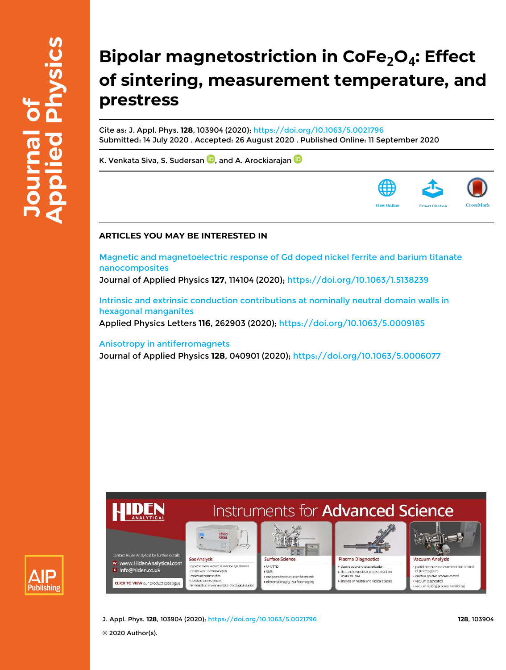# **Bipolar magnetostriction in CoFe2O<sup>4</sup> : Effect of sintering, measurement temperature, and prestress**

Cite as: J. Appl. Phys. **128**, 103904 (2020); https://doi.org/10.1063/5.0021796 Submitted: 14 July 2020 . Accepted: 26 August 2020 . Published Online: 11 September 2020

K. Venkata Siva, S. Sudersan **D**, and A. Arockiarajan **D** 



### **ARTICLES YOU MAY BE INTERESTED IN**

Magnetic and magnetoelectric response of Gd doped nickel ferrite and barium titanate nanocomposites

Journal of Applied Physics **127**, 114104 (2020); https://doi.org/10.1063/1.5138239

Intrinsic and extrinsic conduction contributions at nominally neutral domain walls in hexagonal manganites Applied Physics Letters **116**, 262903 (2020); https://doi.org/10.1063/5.0009185

Anisotropy in antiferromagnets

Journal of Applied Physics **128**, 040901 (2020); https://doi.org/10.1063/5.0006077





J. Appl. Phys. **128**, 103904 (2020); https://doi.org/10.1063/5.0021796 **128**, 103904

© 2020 Author(s).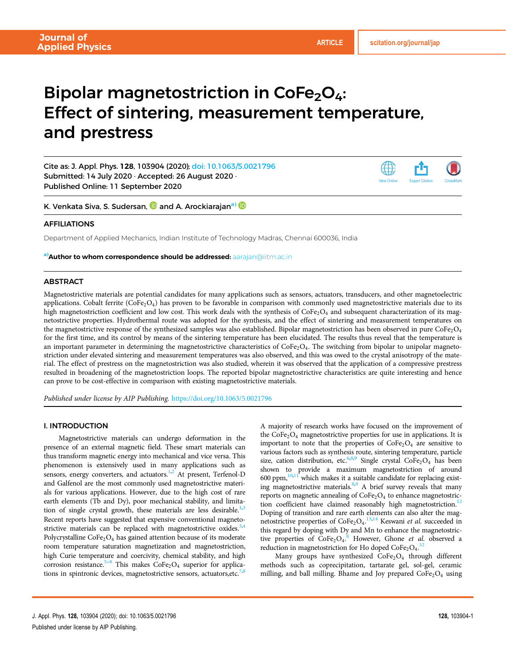## Bipolar magnetostriction in  $\text{CoFe}_2\text{O}_4$ : Effect of sintering, measurement temperature, and prestress

Cite as: J. Appl. Phys. 128, 103904 (2020); doi: 10.1063/5.0021796 Submitted: 14 July 2020 · Accepted: 26 August 2020 · Published Online: 11 September 2020



K. Venkata Siva, S. Sudersan, **D** and A. Arockiarajan<sup>a)</sup> **D** 

### AFFILIATIONS

Department of Applied Mechanics, Indian Institute of Technology Madras, Chennai 600036, India

a) **Author to whom correspondence should be addressed:** aarajan@iitm.ac.in

#### **ABSTRACT**

Magnetostrictive materials are potential candidates for many applications such as sensors, actuators, transducers, and other magnetoelectric applications. Cobalt ferrite  $(CoFe<sub>2</sub>O<sub>4</sub>)$  has proven to be favorable in comparison with commonly used magnetostrictive materials due to its high magnetostriction coefficient and low cost. This work deals with the synthesis of  $\text{CoFe}_2\text{O}_4$  and subsequent characterization of its magnetostrictive properties. Hydrothermal route was adopted for the synthesis, and the effect of sintering and measurement temperatures on the magnetostrictive response of the synthesized samples was also established. Bipolar magnetostriction has been observed in pure CoFe<sub>2</sub>O<sub>4</sub> for the first time, and its control by means of the sintering temperature has been elucidated. The results thus reveal that the temperature is an important parameter in determining the magnetostrictive characteristics of  $\text{CoFe}_2\text{O}_4$ . The switching from bipolar to unipolar magnetostriction under elevated sintering and measurement temperatures was also observed, and this was owed to the crystal anisotropy of the material. The effect of prestress on the magnetostriction was also studied, wherein it was observed that the application of a compressive prestress resulted in broadening of the magnetostriction loops. The reported bipolar magnetostrictive characteristics are quite interesting and hence can prove to be cost-effective in comparison with existing magnetostrictive materials.

Published under license by AIP Publishing. https://doi.org/10.1063/5.0021796

#### I. INTRODUCTION

Magnetostrictive materials can undergo deformation in the presence of an external magnetic field. These smart materials can thus transform magnetic energy into mechanical and vice versa. This phenomenon is extensively used in many applications such as sensors, energy converters, and actuators. $1,2$  At present, Terfenol-D and Galfenol are the most commonly used magnetostrictive materials for various applications. However, due to the high cost of rare earth elements (Tb and Dy), poor mechanical stability, and limitation of single crystal growth, these materials are less desirable.<sup>1,3</sup> Recent reports have suggested that expensive conventional magnetostrictive materials can be replaced with magnetostrictive oxides.<sup>3,4</sup> Polycrystalline  $\text{CoFe}_2\text{O}_4$  has gained attention because of its moderate room temperature saturation magnetization and magnetostriction, high Curie temperature and coercivity, chemical stability, and high corrosion resistance.<sup>5–8</sup> This makes  $\text{CoFe}_2\text{O}_4$  superior for applications in spintronic devices, magnetostrictive sensors, actuators, etc.<sup>7,8</sup>

A majority of research works have focused on the improvement of the  $\text{CoFe}_2\text{O}_4$  magnetostrictive properties for use in applications. It is important to note that the properties of  $\text{CoFe}_2\text{O}_4$  are sensitive to various factors such as synthesis route, sintering temperature, particle size, cation distribution, etc.<sup>6,8,9</sup> Single crystal  $\text{CoFe}_2\text{O}_4$  has been shown to provide a maximum magnetostriction of around 600 ppm, $10,11$  which makes it a suitable candidate for replacing existing magnetostrictive materials.<sup>8,9</sup> A brief survey reveals that many reports on magnetic annealing of  $\text{CoFe}_2\text{O}_4$  to enhance magnetostriction coefficient have claimed reasonably high magnetostriction.<sup>12</sup> Doping of transition and rare earth elements can also alter the magnetostrictive properties of  $\text{CoFe}_2\text{O}_4$ . <sup>13,14</sup> Keswani et al. succeeded in this regard by doping with Dy and Mn to enhance the magnetostrictive properties of  $\text{CoFe}_2\text{O}_4$ .<sup>8</sup> However, Ghone et al. observed a reduction in magnetostriction for Ho doped  $\text{CoFe}_2\text{O}_4$ .<sup>32</sup>

Many groups have synthesized  $CoFe<sub>2</sub>O<sub>4</sub>$  through different methods such as coprecipitation, tartarate gel, sol-gel, ceramic milling, and ball milling. Bhame and Joy prepared  $\text{CoFe}_2\text{O}_4$  using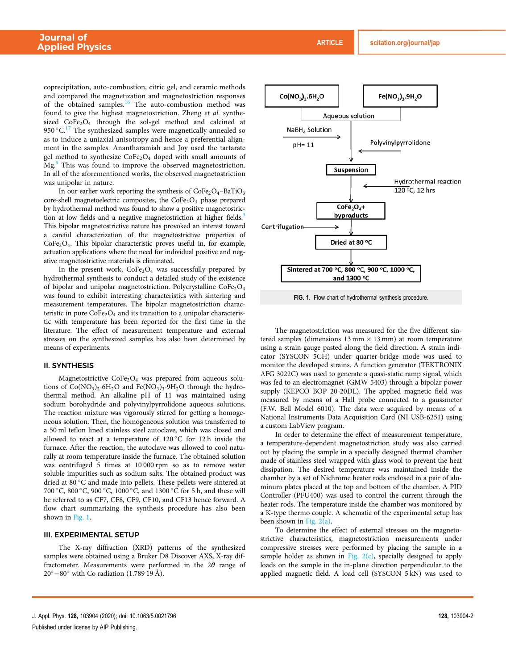coprecipitation, auto-combustion, citric gel, and ceramic methods and compared the magnetization and magnetostriction responses of the obtained samples.<sup>16</sup> The auto-combustion method was found to give the highest magnetostriction. Zheng et al. synthesized  $\text{CoFe}_2\text{O}_4$  through the sol-gel method and calcined at 950 °C.<sup>17</sup> The synthesized samples were magnetically annealed so as to induce a uniaxial anisotropy and hence a preferential alignment in the samples. Anantharamiah and Joy used the tartarate gel method to synthesize  $\text{CoFe}_2\text{O}_4$  doped with small amounts of Mg.<sup>9</sup> This was found to improve the observed magnetostriction. In all of the aforementioned works, the observed magnetostriction was unipolar in nature.

In our earlier work reporting the synthesis of  $\text{CoFe}_2\text{O}_4-\text{BaTiO}_3$ core-shell magnetoelectric composites, the  $\text{CoFe}_2\text{O}_4$  phase prepared by hydrothermal method was found to show a positive magnetostriction at low fields and a negative magnetostriction at higher fields.<sup>3</sup> This bipolar magnetostrictive nature has provoked an interest toward a careful characterization of the magnetostrictive properties of  $CoFe<sub>2</sub>O<sub>4</sub>$ . This bipolar characteristic proves useful in, for example, actuation applications where the need for individual positive and negative magnetostrictive materials is eliminated.

In the present work,  $\text{CoFe}_2\text{O}_4$  was successfully prepared by hydrothermal synthesis to conduct a detailed study of the existence of bipolar and unipolar magnetostriction. Polycrystalline  $\text{CoFe}_2\text{O}_4$ was found to exhibit interesting characteristics with sintering and measurement temperatures. The bipolar magnetostriction characteristic in pure  $\text{CoFe}_2\text{O}_4$  and its transition to a unipolar characteristic with temperature has been reported for the first time in the literature. The effect of measurement temperature and external stresses on the synthesized samples has also been determined by means of experiments.

#### II. SYNTHESIS

Magnetostrictive CoFe<sub>2</sub>O<sub>4</sub> was prepared from aqueous solutions of  $Co(NO<sub>3</sub>)<sub>2</sub>·6H<sub>2</sub>O$  and  $Fe(NO<sub>3</sub>)<sub>3</sub>·9H<sub>2</sub>O$  through the hydrothermal method. An alkaline pH of 11 was maintained using sodium borohydride and polyvinylpyrrolidone aqueous solutions. The reaction mixture was vigorously stirred for getting a homogeneous solution. Then, the homogeneous solution was transferred to a 50 ml teflon lined stainless steel autoclave, which was closed and allowed to react at a temperature of  $120\,^{\circ}\text{C}$  for  $12\text{ h}$  inside the furnace. After the reaction, the autoclave was allowed to cool naturally at room temperature inside the furnace. The obtained solution was centrifuged 5 times at 10 000 rpm so as to remove water soluble impurities such as sodium salts. The obtained product was dried at 80 °C and made into pellets. These pellets were sintered at 700 °C, 800 °C, 900 °C, 1000 °C, and 1300 °C for 5 h, and these will be referred to as CF7, CF8, CF9, CF10, and CF13 hence forward. A flow chart summarizing the synthesis procedure has also been shown in Fig. 1.

#### III. EXPERIMENTAL SETUP

The X-ray diffraction (XRD) patterns of the synthesized samples were obtained using a Bruker D8 Discover AXS, X-ray diffractometer. Measurements were performed in the  $2\theta$  range of  $20^{\circ} - 80^{\circ}$  with Co radiation (1.789 19 Å).



FIG. 1. Flow chart of hydrothermal synthesis procedure.

The magnetostriction was measured for the five different sintered samples (dimensions  $13 \text{ mm} \times 13 \text{ mm}$ ) at room temperature using a strain gauge pasted along the field direction. A strain indicator (SYSCON 5CH) under quarter-bridge mode was used to monitor the developed strains. A function generator (TEKTRONIX AFG 3022C) was used to generate a quasi-static ramp signal, which was fed to an electromagnet (GMW 5403) through a bipolar power supply (KEPCO BOP 20-20DL). The applied magnetic field was measured by means of a Hall probe connected to a gaussmeter (F.W. Bell Model 6010). The data were acquired by means of a National Instruments Data Acquisition Card (NI USB-6251) using a custom LabView program.

In order to determine the effect of measurement temperature, a temperature-dependent magnetostriction study was also carried out by placing the sample in a specially designed thermal chamber made of stainless steel wrapped with glass wool to prevent the heat dissipation. The desired temperature was maintained inside the chamber by a set of Nichrome heater rods enclosed in a pair of aluminum plates placed at the top and bottom of the chamber. A PID Controller (PFU400) was used to control the current through the heater rods. The temperature inside the chamber was monitored by a K-type thermo couple. A schematic of the experimental setup has been shown in Fig. 2(a).

To determine the effect of external stresses on the magnetostrictive characteristics, magnetostriction measurements under compressive stresses were performed by placing the sample in a sample holder as shown in Fig.  $2(c)$ , specially designed to apply loads on the sample in the in-plane direction perpendicular to the applied magnetic field. A load cell (SYSCON 5 kN) was used to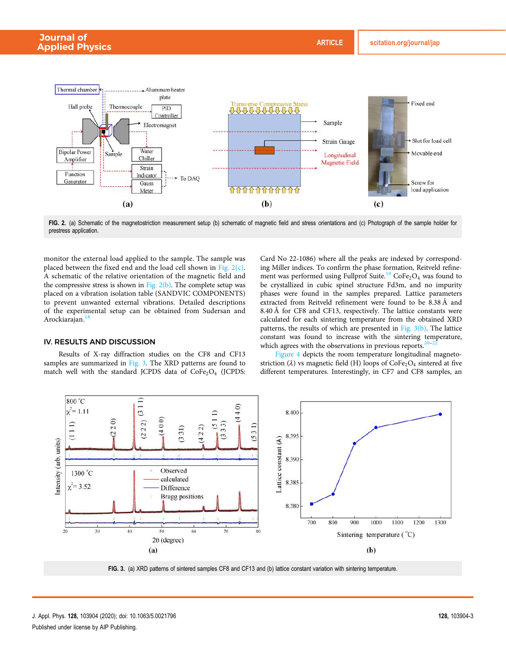

FIG. 2. (a) Schematic of the magnetostriction measurement setup (b) schematic of magnetic field and stress orientations and (c) Photograph of the sample holder for prestress application.

monitor the external load applied to the sample. The sample was placed between the fixed end and the load cell shown in Fig. 2(c). A schematic of the relative orientation of the magnetic field and the compressive stress is shown in Fig. 2(b). The complete setup was placed on a vibration isolation table (SANDVIC COMPONENTS) to prevent unwanted external vibrations. Detailed descriptions of the experimental setup can be obtained from Sudersan and Arockiarajan.<sup>18</sup>

#### IV. RESULTS AND DISCUSSION

Results of X-ray diffraction studies on the CF8 and CF13 samples are summarized in Fig. 3. The XRD patterns are found to match well with the standard JCPDS data of  $CoFe<sub>2</sub>O<sub>4</sub>$  (JCPDS: Card No 22-1086) where all the peaks are indexed by corresponding Miller indices. To confirm the phase formation, Reitveld refinement was performed using Fullprof Suite.<sup>19</sup> CoFe<sub>2</sub>O<sub>4</sub> was found to be crystallized in cubic spinel structure Fd3m, and no impurity phases were found in the samples prepared. Lattice parameters extracted from Reitveld refinement were found to be 8.38 Å and 8.40 Å for CF8 and CF13, respectively. The lattice constants were calculated for each sintering temperature from the obtained XRD patterns, the results of which are presented in Fig.  $3(b)$ . The lattice constant was found to increase with the sintering temperature, which agrees with the observations in previous reports.<sup>2</sup>

Figure 4 depicts the room temperature longitudinal magnetostriction ( $\lambda$ ) vs magnetic field (H) loops of CoFe<sub>2</sub>O<sub>4</sub> sintered at five different temperatures. Interestingly, in CF7 and CF8 samples, an



FIG. 3. (a) XRD patterns of sintered samples CF8 and CF13 and (b) lattice constant variation with sintering temperature.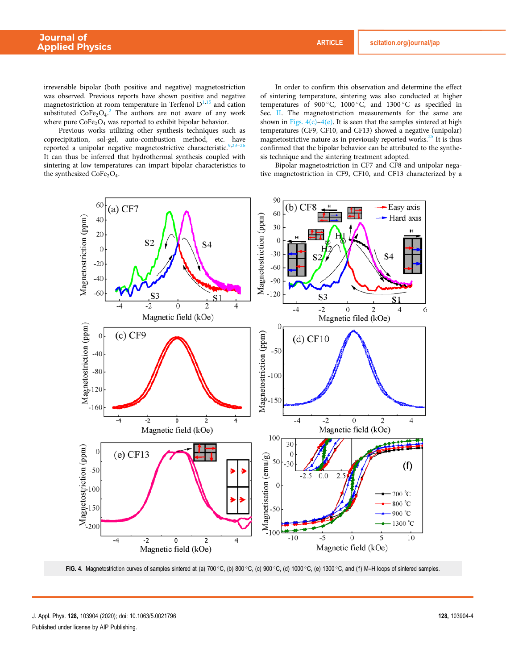irreversible bipolar (both positive and negative) magnetostriction was observed. Previous reports have shown positive and negative magnetostriction at room temperature in Terfenol  $D<sup>1,15</sup>$  and cation substituted  $\text{CoFe}_2\text{O}_4$ .<sup>2</sup> The authors are not aware of any work where pure  $\text{CoFe}_2\text{O}_4$  was reported to exhibit bipolar behavior.

Previous works utilizing other synthesis techniques such as coprecipitation, sol-gel, auto-combustion method, etc. have reported a unipolar negative magnetostrictive characteristic. It can thus be inferred that hydrothermal synthesis coupled with sintering at low temperatures can impart bipolar characteristics to the synthesized  $CoFe<sub>2</sub>O<sub>4</sub>$ .

In order to confirm this observation and determine the effect of sintering temperature, sintering was also conducted at higher temperatures of 900 °C, 1000 °C, and 1300 °C as specified in Sec. II. The magnetostriction measurements for the same are shown in Figs.  $4(c)$ – $4(e)$ . It is seen that the samples sintered at high temperatures (CF9, CF10, and CF13) showed a negative (unipolar) magnetostrictive nature as in previously reported works. $^{25}$  It is thus confirmed that the bipolar behavior can be attributed to the synthesis technique and the sintering treatment adopted.

Bipolar magnetostriction in CF7 and CF8 and unipolar negative magnetostriction in CF9, CF10, and CF13 characterized by a



FIG. 4. Magnetostriction curves of samples sintered at (a) 700 °C, (b) 800 °C, (c) 900 °C, (d) 1000 °C, (e) 1300 °C, and (f) M-H loops of sintered samples.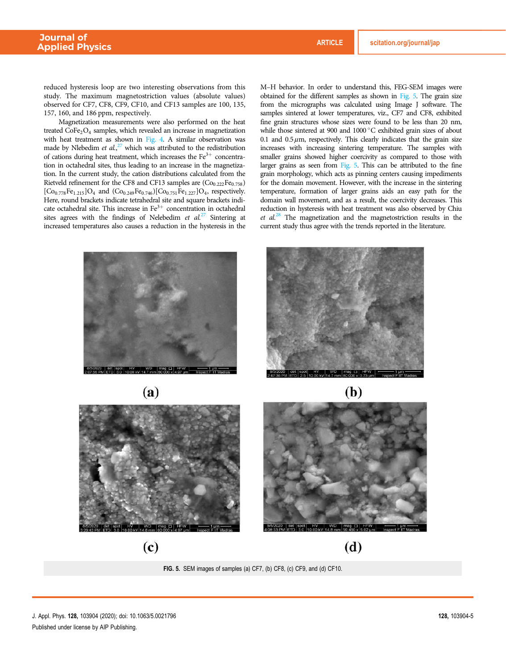reduced hysteresis loop are two interesting observations from this study. The maximum magnetostriction values (absolute values) observed for CF7, CF8, CF9, CF10, and CF13 samples are 100, 135, 157, 160, and 186 ppm, respectively.

Magnetization measurements were also performed on the heat treated  $\text{CoFe}_2\text{O}_4$  samples, which revealed an increase in magnetization with heat treatment as shown in Fig. 4. A similar observation was made by Nlebedim et  $al$ ,<sup>27</sup> which was attributed to the redistribution of cations during heat treatment, which increases the  $Fe<sup>3+</sup>$  concentration in octahedral sites, thus leading to an increase in the magnetization. In the current study, the cation distributions calculated from the Rietveld refinement for the CF8 and CF13 samples are  $(Co_{0.222}Fe_{0.758})$  $[C_{00.778}Fe_{1.215}]O_4$  and  $(C_{00.249}Fe_{0.746})[Co_{0.751}Fe_{1.227}]O_4$ , respectively. Here, round brackets indicate tetrahedral site and square brackets indicate octahedral site. This increase in  $Fe<sup>3+</sup>$  concentration in octahedral sites agrees with the findings of Nelebedim et  $al^{27}$  Sintering at increased temperatures also causes a reduction in the hysteresis in the

M–H behavior. In order to understand this, FEG-SEM images were obtained for the different samples as shown in Fig. 5. The grain size from the micrographs was calculated using Image J software. The samples sintered at lower temperatures, viz., CF7 and CF8, exhibited fine grain structures whose sizes were found to be less than 20 nm, while those sintered at 900 and 1000 °C exhibited grain sizes of about 0.1 and  $0.5 \mu$ m, respectively. This clearly indicates that the grain size increases with increasing sintering temperature. The samples with smaller grains showed higher coercivity as compared to those with larger grains as seen from Fig. 5. This can be attributed to the fine grain morphology, which acts as pinning centers causing impediments for the domain movement. However, with the increase in the sintering temperature, formation of larger grains aids an easy path for the domain wall movement, and as a result, the coercivity decreases. This reduction in hysteresis with heat treatment was also observed by Chiu et  $al^{28}$  The magnetization and the magnetostriction results in the current study thus agree with the trends reported in the literature.



 $(a)$ 







FIG. 5. SEM images of samples (a) CF7, (b) CF8, (c) CF9, and (d) CF10.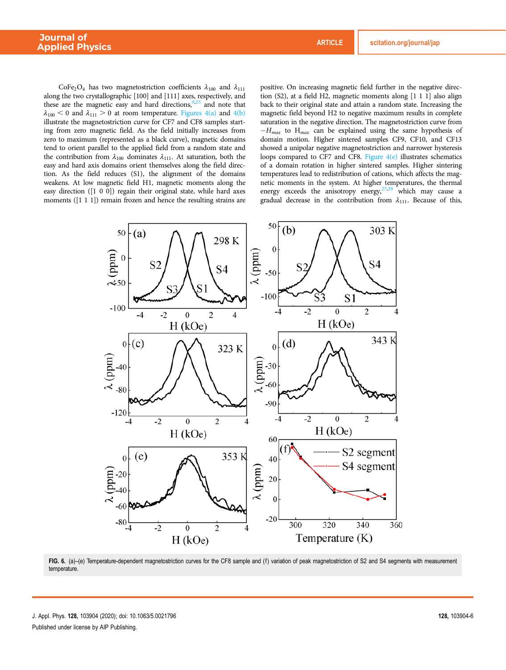CoFe<sub>2</sub>O<sub>4</sub> has two magnetostriction coefficients  $\lambda_{100}$  and  $\lambda_{111}$ along the two crystallographic [100] and [111] axes, respectively, and these are the magnetic easy and hard directions,  $9.25$  and note that  $\lambda_{100}$  < 0 and  $\lambda_{111}$  > 0 at room temperature. Figures 4(a) and 4(b) illustrate the magnetostriction curve for CF7 and CF8 samples starting from zero magnetic field. As the field initially increases from zero to maximum (represented as a black curve), magnetic domains tend to orient parallel to the applied field from a random state and the contribution from  $\lambda_{100}$  dominates  $\lambda_{111}$ . At saturation, both the easy and hard axis domains orient themselves along the field direction. As the field reduces (S1), the alignment of the domains weakens. At low magnetic field H1, magnetic moments along the easy direction ([1 0 0]) regain their original state, while hard axes moments ([1 1 1]) remain frozen and hence the resulting strains are positive. On increasing magnetic field further in the negative direction (S2), at a field H2, magnetic moments along [1 1 1] also align back to their original state and attain a random state. Increasing the magnetic field beyond H2 to negative maximum results in complete saturation in the negative direction. The magnetostriction curve from  $-H_{max}$  to  $H_{max}$  can be explained using the same hypothesis of domain motion. Higher sintered samples CF9, CF10, and CF13 showed a unipolar negative magnetostriction and narrower hysteresis loops compared to CF7 and CF8. Figure  $4(e)$  illustrates schematics of a domain rotation in higher sintered samples. Higher sintering temperatures lead to redistribution of cations, which affects the magnetic moments in the system. At higher temperatures, the thermal energy exceeds the anisotropy energy,<sup>27,29</sup> which may cause a gradual decrease in the contribution from  $\lambda_{111}$ . Because of this,



FIG. 6. (a)-(e) Temperature-dependent magnetostriction curves for the CF8 sample and (f) variation of peak magnetostriction of S2 and S4 segments with measurement temperature.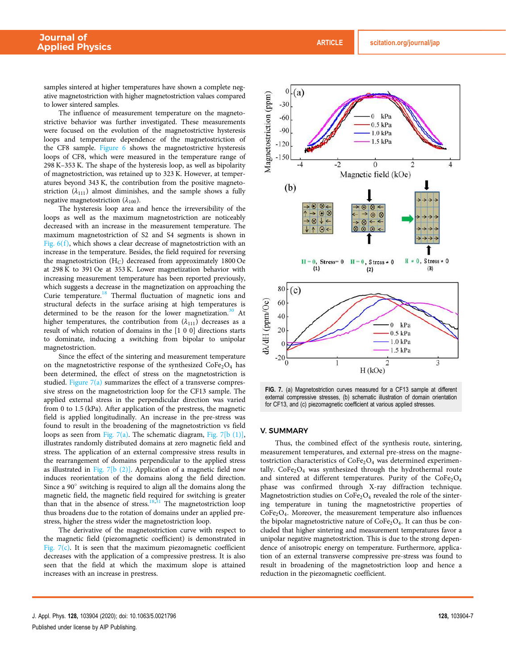samples sintered at higher temperatures have shown a complete negative magnetostriction with higher magnetostriction values compared to lower sintered samples.

The influence of measurement temperature on the magnetostrictive behavior was further investigated. These measurements were focused on the evolution of the magnetostrictive hysteresis loops and temperature dependence of the magnetostriction of the CF8 sample. Figure 6 shows the magnetostrictive hysteresis loops of CF8, which were measured in the temperature range of 298 K–353 K. The shape of the hysteresis loop, as well as bipolarity of magnetostriction, was retained up to 323 K. However, at temperatures beyond 343 K, the contribution from the positive magnetostriction  $(\lambda_{111})$  almost diminishes, and the sample shows a fully negative magnetostriction  $(\lambda_{100})$ .

The hysteresis loop area and hence the irreversibility of the loops as well as the maximum magnetostriction are noticeably decreased with an increase in the measurement temperature. The maximum magnetostriction of S2 and S4 segments is shown in Fig.  $6(f)$ , which shows a clear decrease of magnetostriction with an increase in the temperature. Besides, the field required for reversing the magnetostriction  $(H_C)$  decreased from approximately 1800 Oe at 298 K to 391 Oe at 353 K. Lower magnetization behavior with increasing measurement temperature has been reported previously, which suggests a decrease in the magnetization on approaching the Curie temperature.<sup>18</sup> Thermal fluctuation of magnetic ions and structural defects in the surface arising at high temperatures is determined to be the reason for the lower magnetization.<sup>30</sup> At higher temperatures, the contribution from  $(\lambda_{111})$  decreases as a result of which rotation of domains in the [1 0 0] directions starts to dominate, inducing a switching from bipolar to unipolar magnetostriction.

Since the effect of the sintering and measurement temperature on the magnetostrictive response of the synthesized  $\text{CoFe}_2\text{O}_4$  has been determined, the effect of stress on the magnetostriction is studied. Figure  $7(a)$  summarizes the effect of a transverse compressive stress on the magnetostriction loop for the CF13 sample. The applied external stress in the perpendicular direction was varied from 0 to 1.5 (kPa). After application of the prestress, the magnetic field is applied longitudinally. An increase in the pre-stress was found to result in the broadening of the magnetostriction vs field loops as seen from Fig. 7(a). The schematic diagram, Fig. 7[b  $(1)$ ], illustrates randomly distributed domains at zero magnetic field and stress. The application of an external compressive stress results in the rearrangement of domains perpendicular to the applied stress as illustrated in Fig. 7[b  $(2)$ ]. Application of a magnetic field now induces reorientation of the domains along the field direction. Since a 90° switching is required to align all the domains along the magnetic field, the magnetic field required for switching is greater than that in the absence of stress.<sup>18,31</sup> The magnetostriction loop thus broadens due to the rotation of domains under an applied prestress, higher the stress wider the magnetostriction loop.

The derivative of the magnetostriction curve with respect to the magnetic field (piezomagnetic coefficient) is demonstrated in Fig.  $7(c)$ . It is seen that the maximum piezomagnetic coefficient decreases with the application of a compressive prestress. It is also seen that the field at which the maximum slope is attained increases with an increase in prestress.



FIG. 7. (a) Magnetostriction curves measured for a CF13 sample at different external compressive stresses, (b) schematic illustration of domain orientation for CF13, and (c) piezomagnetic coefficient at various applied stresses.

#### V. SUMMARY

Thus, the combined effect of the synthesis route, sintering, measurement temperatures, and external pre-stress on the magnetostriction characteristics of  $\text{CoFe}_2\text{O}_4$  was determined experimentally.  $\text{CoFe}_2\text{O}_4$  was synthesized through the hydrothermal route and sintered at different temperatures. Purity of the  $CoFe<sub>2</sub>O<sub>4</sub>$ phase was confirmed through X-ray diffraction technique. Magnetostriction studies on  $\text{CoFe}_2\text{O}_4$  revealed the role of the sintering temperature in tuning the magnetostrictive properties of  $CoFe<sub>2</sub>O<sub>4</sub>$ . Moreover, the measurement temperature also influences the bipolar magnetostrictive nature of  $\text{CoFe}_2\text{O}_4$ . It can thus be concluded that higher sintering and measurement temperatures favor a unipolar negative magnetostriction. This is due to the strong dependence of anisotropic energy on temperature. Furthermore, application of an external transverse compressive pre-stress was found to result in broadening of the magnetostriction loop and hence a reduction in the piezomagnetic coefficient.